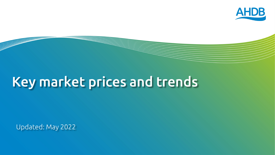

# Key market prices and trends

Updated: May 2022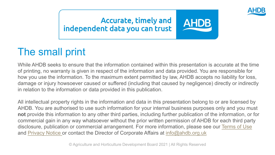

#### **Accurate, timely and** independent data you can trust

#### The small print

While AHDB seeks to ensure that the information contained within this presentation is accurate at the time of printing, no warranty is given in respect of the information and data provided. You are responsible for how you use the information. To the maximum extent permitted by law, AHDB accepts no liability for loss, damage or injury howsoever caused or suffered (including that caused by negligence) directly or indirectly in relation to the information or data provided in this publication.

All intellectual property rights in the information and data in this presentation belong to or are licensed by AHDB. You are authorised to use such information for your internal business purposes only and you must **not** provide this information to any other third parties, including further publication of the information, or for commercial gain in any way whatsoever without the prior written permission of AHDB for each third party disclosure, publication or commercial arrangement. For more information, please see our [Terms of Use](https://ahdb.org.uk/terms-and-conditions)  and [Privacy Notice o](https://ahdb.org.uk/Privacy-Notice)r contact the Director of Corporate Affairs at [info@ahdb.org.uk](mailto:info@ahdb.org.uk)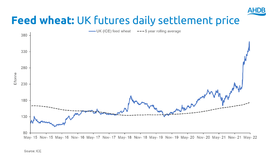

## **Feed wheat:** UK futures daily settlement price

-UK (ICE) feed wheat --- 5 year rolling average

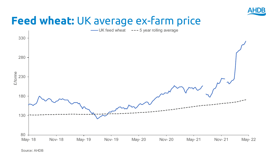

#### **Feed wheat:** UK average ex-farm price

UK feed wheat --- 5 year rolling average

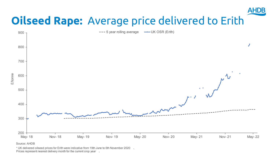

## **Oilseed Rape:** Average price delivered to Erith



#### Source: AHDB

\* UK delivered oilseed prices for Erith were indicative from 19th June to 6th November 2020 . Prices represent nearest delivery month for the current crop year .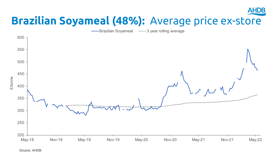#### **AHDB Brazilian Soyameal (48%):** Average price ex-store

Brazilian Soyameal -----3 year rolling average



Source: AHDB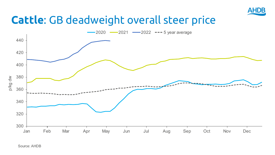

#### **Cattle**: GB deadweight overall steer price



Source: AHDB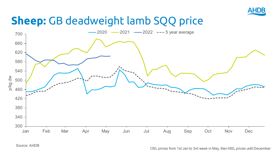

## **Sheep:** GB deadweight lamb SQQ price



Source: AHDB

OSL prices from 1st Jan to 3rd week in May, then NSL prices until December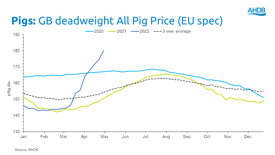

#### **Pigs:** GB deadweight All Pig Price (EU spec)



Source: AHDB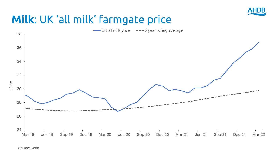

#### **Milk**: UK 'all milk' farmgate price

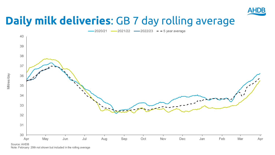

#### **Daily milk deliveries**: GB 7 day rolling average





Note: February 29th not shown but included in the rolling average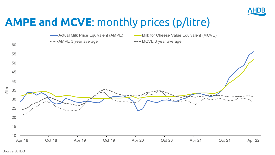

## **AMPE and MCVE**: monthly prices (p/litre)

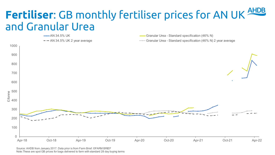### **Fertiliser**: GB monthly fertiliser prices for AN UK and Granular Urea



Source: AHDB from January 2017. Data prior is from Farm Brief. ©FARM BRIEF Note:These are spot GB prices for bags delivered to farm with standard 28 day buying terms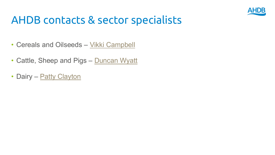

#### AHDB contacts & sector specialists

- Cereals and Oilseeds [Vikki Campbell](mailto:vikki.campbell@ahdb.org.uk)
- Cattle Sheep and Dige Duncan W • Cattle, Sheep and Pigs – [Duncan Wyatt](mailto:Duncan.Wyatt@ahdb.org.uk)
- Dairy [Patty Clayton](mailto:patty.clayton@ahdb.org.uk)